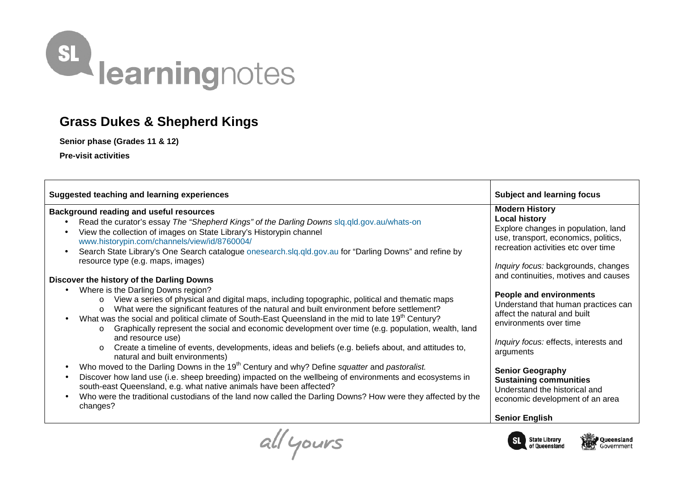

## **Grass Dukes & Shepherd Kings**

**Senior phase (Grades 11 & 12)** 

**Pre-visit activities** 

| <b>Suggested teaching and learning experiences</b>                                                                                                                                                                                                                                                                                                                                                                                                                                                                                                                                                                                                                                                                                                                                                                                                                                                                                                                                                                                                                                                                                                                                                                                                                                                                                                                                                                                                                                                                                                                                           | <b>Subject and learning focus</b>                                                                                                                                                                                                                                                                                                                                                                                                                                                                                                                                                                    |
|----------------------------------------------------------------------------------------------------------------------------------------------------------------------------------------------------------------------------------------------------------------------------------------------------------------------------------------------------------------------------------------------------------------------------------------------------------------------------------------------------------------------------------------------------------------------------------------------------------------------------------------------------------------------------------------------------------------------------------------------------------------------------------------------------------------------------------------------------------------------------------------------------------------------------------------------------------------------------------------------------------------------------------------------------------------------------------------------------------------------------------------------------------------------------------------------------------------------------------------------------------------------------------------------------------------------------------------------------------------------------------------------------------------------------------------------------------------------------------------------------------------------------------------------------------------------------------------------|------------------------------------------------------------------------------------------------------------------------------------------------------------------------------------------------------------------------------------------------------------------------------------------------------------------------------------------------------------------------------------------------------------------------------------------------------------------------------------------------------------------------------------------------------------------------------------------------------|
| <b>Background reading and useful resources</b><br>Read the curator's essay The "Shepherd Kings" of the Darling Downs sig.gld.gov.au/whats-on<br>View the collection of images on State Library's Historypin channel<br>$\bullet$<br>www.historypin.com/channels/view/id/8760004/<br>Search State Library's One Search catalogue onesearch.slq.qld.gov.au for "Darling Downs" and refine by<br>$\bullet$<br>resource type (e.g. maps, images)<br>Discover the history of the Darling Downs<br>Where is the Darling Downs region?<br>View a series of physical and digital maps, including topographic, political and thematic maps<br>$\circ$<br>What were the significant features of the natural and built environment before settlement?<br>$\circ$<br>What was the social and political climate of South-East Queensland in the mid to late 19 <sup>th</sup> Century?<br>Graphically represent the social and economic development over time (e.g. population, wealth, land<br>$\circ$<br>and resource use)<br>Create a timeline of events, developments, ideas and beliefs (e.g. beliefs about, and attitudes to,<br>$\circ$<br>natural and built environments)<br>Who moved to the Darling Downs in the 19 <sup>th</sup> Century and why? Define squatter and pastoralist.<br>Discover how land use (i.e. sheep breeding) impacted on the wellbeing of environments and ecosystems in<br>south-east Queensland, e.g. what native animals have been affected?<br>Who were the traditional custodians of the land now called the Darling Downs? How were they affected by the<br>changes? | <b>Modern History</b><br><b>Local history</b><br>Explore changes in population, land<br>use, transport, economics, politics,<br>recreation activities etc over time<br>Inquiry focus: backgrounds, changes<br>and continuities, motives and causes<br><b>People and environments</b><br>Understand that human practices can<br>affect the natural and built<br>environments over time<br>Inquiry focus: effects, interests and<br>arguments<br><b>Senior Geography</b><br><b>Sustaining communities</b><br>Understand the historical and<br>economic development of an area<br><b>Senior English</b> |
| $\overline{\phantom{a}}$                                                                                                                                                                                                                                                                                                                                                                                                                                                                                                                                                                                                                                                                                                                                                                                                                                                                                                                                                                                                                                                                                                                                                                                                                                                                                                                                                                                                                                                                                                                                                                     |                                                                                                                                                                                                                                                                                                                                                                                                                                                                                                                                                                                                      |

State Library

of Queensland

Queensland

Government

 $SL$ 

all yours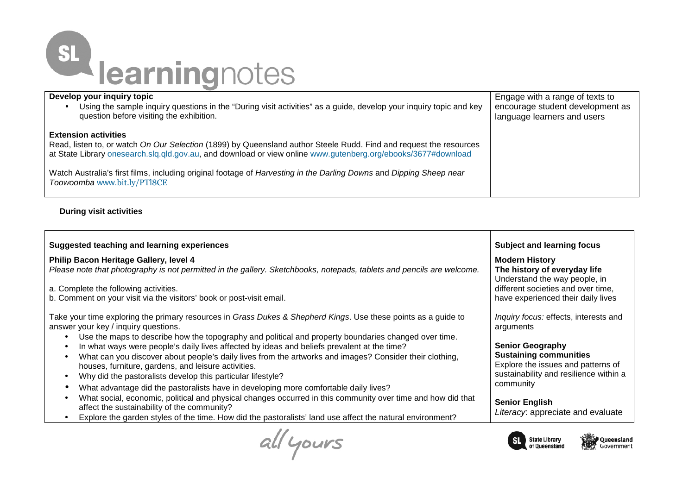

| Develop your inquiry topic                                                                                                                                                                                                                                                                                                                                                                                               | Engage with a range of texts to  |
|--------------------------------------------------------------------------------------------------------------------------------------------------------------------------------------------------------------------------------------------------------------------------------------------------------------------------------------------------------------------------------------------------------------------------|----------------------------------|
| Using the sample inquiry questions in the "During visit activities" as a guide, develop your inquiry topic and key                                                                                                                                                                                                                                                                                                       | encourage student development as |
| question before visiting the exhibition.                                                                                                                                                                                                                                                                                                                                                                                 | language learners and users      |
| <b>Extension activities</b><br>Read, listen to, or watch On Our Selection (1899) by Queensland author Steele Rudd. Find and request the resources<br>at State Library onesearch.slq.qld.gov.au, and download or view online www.gutenberg.org/ebooks/3677#download<br>Watch Australia's first films, including original footage of Harvesting in the Darling Downs and Dipping Sheep near<br>Toowoomba www.bit.ly/PTl8CE |                                  |

## **During visit activities**

| Suggested teaching and learning experiences                                                                                                                                                                                                                                 | <b>Subject and learning focus</b>                                   |
|-----------------------------------------------------------------------------------------------------------------------------------------------------------------------------------------------------------------------------------------------------------------------------|---------------------------------------------------------------------|
| Philip Bacon Heritage Gallery, level 4                                                                                                                                                                                                                                      | <b>Modern History</b>                                               |
| Please note that photography is not permitted in the gallery. Sketchbooks, notepads, tablets and pencils are welcome.                                                                                                                                                       | The history of everyday life<br>Understand the way people, in       |
| a. Complete the following activities.                                                                                                                                                                                                                                       | different societies and over time,                                  |
| b. Comment on your visit via the visitors' book or post-visit email.                                                                                                                                                                                                        | have experienced their daily lives                                  |
| Take your time exploring the primary resources in Grass Dukes & Shepherd Kings. Use these points as a guide to<br>answer your key / inquiry questions.<br>Use the maps to describe how the topography and political and property boundaries changed over time.<br>$\bullet$ | Inquiry focus: effects, interests and<br>arguments                  |
| In what ways were people's daily lives affected by ideas and beliefs prevalent at the time?<br>$\bullet$                                                                                                                                                                    | <b>Senior Geography</b>                                             |
| What can you discover about people's daily lives from the artworks and images? Consider their clothing,<br>$\bullet$                                                                                                                                                        | <b>Sustaining communities</b><br>Explore the issues and patterns of |
| houses, furniture, gardens, and leisure activities.<br>Why did the pastoralists develop this particular lifestyle?<br>$\bullet$                                                                                                                                             | sustainability and resilience within a                              |
| What advantage did the pastoralists have in developing more comfortable daily lives?<br>$\bullet$                                                                                                                                                                           | community                                                           |
| What social, economic, political and physical changes occurred in this community over time and how did that<br>affect the sustainability of the community?                                                                                                                  | <b>Senior English</b>                                               |
| Explore the garden styles of the time. How did the pastoralists' land use affect the natural environment?                                                                                                                                                                   | Literacy: appreciate and evaluate                                   |
|                                                                                                                                                                                                                                                                             |                                                                     |

all yours



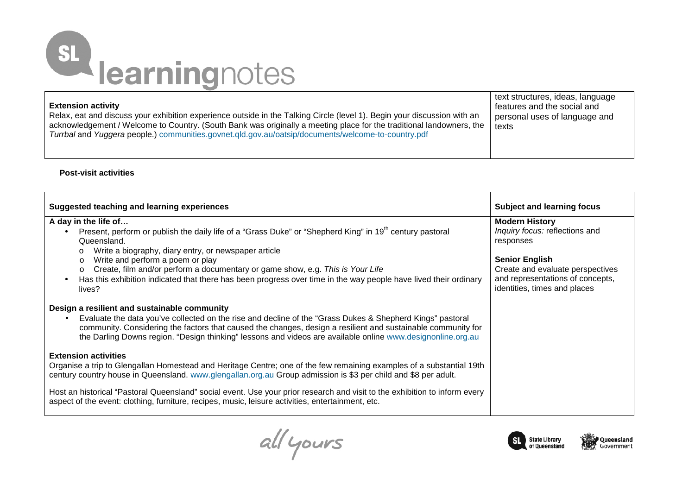## SL learningnotes

| <b>Extension activity</b>                                                                                                | text structures, ideas, language |
|--------------------------------------------------------------------------------------------------------------------------|----------------------------------|
| Relax, eat and discuss your exhibition experience outside in the Talking Circle (level 1). Begin your discussion with an | features and the social and      |
| acknowledgement / Welcome to Country. (South Bank was originally a meeting place for the traditional landowners, the     | personal uses of language and    |
| Turrbal and Yuggera people.) communities.govnet.qld.gov.au/oatsip/documents/welcome-to-country.pdf                       | texts                            |

## **Post-visit activities**

| Suggested teaching and learning experiences                                                                                                                                                                                                                                                                                                           | <b>Subject and learning focus</b>                                |
|-------------------------------------------------------------------------------------------------------------------------------------------------------------------------------------------------------------------------------------------------------------------------------------------------------------------------------------------------------|------------------------------------------------------------------|
| A day in the life of                                                                                                                                                                                                                                                                                                                                  | <b>Modern History</b>                                            |
| Present, perform or publish the daily life of a "Grass Duke" or "Shepherd King" in 19 <sup>th</sup> century pastoral<br>$\bullet$<br>Queensland.                                                                                                                                                                                                      | Inquiry focus: reflections and<br>responses                      |
| Write a biography, diary entry, or newspaper article<br>Write and perform a poem or play<br>$\circ$                                                                                                                                                                                                                                                   | <b>Senior English</b>                                            |
| Create, film and/or perform a documentary or game show, e.g. This is Your Life<br>$\circ$                                                                                                                                                                                                                                                             | Create and evaluate perspectives                                 |
| Has this exhibition indicated that there has been progress over time in the way people have lived their ordinary<br>$\bullet$<br>lives?                                                                                                                                                                                                               | and representations of concepts,<br>identities, times and places |
| Design a resilient and sustainable community                                                                                                                                                                                                                                                                                                          |                                                                  |
| Evaluate the data you've collected on the rise and decline of the "Grass Dukes & Shepherd Kings" pastoral<br>$\bullet$<br>community. Considering the factors that caused the changes, design a resilient and sustainable community for<br>the Darling Downs region. "Design thinking" lessons and videos are available online www.designonline.org.au |                                                                  |
| <b>Extension activities</b>                                                                                                                                                                                                                                                                                                                           |                                                                  |
| Organise a trip to Glengallan Homestead and Heritage Centre; one of the few remaining examples of a substantial 19th<br>century country house in Queensland. www.glengallan.org.au Group admission is \$3 per child and \$8 per adult.                                                                                                                |                                                                  |
| Host an historical "Pastoral Queensland" social event. Use your prior research and visit to the exhibition to inform every<br>aspect of the event: clothing, furniture, recipes, music, leisure activities, entertainment, etc.                                                                                                                       |                                                                  |

all yours